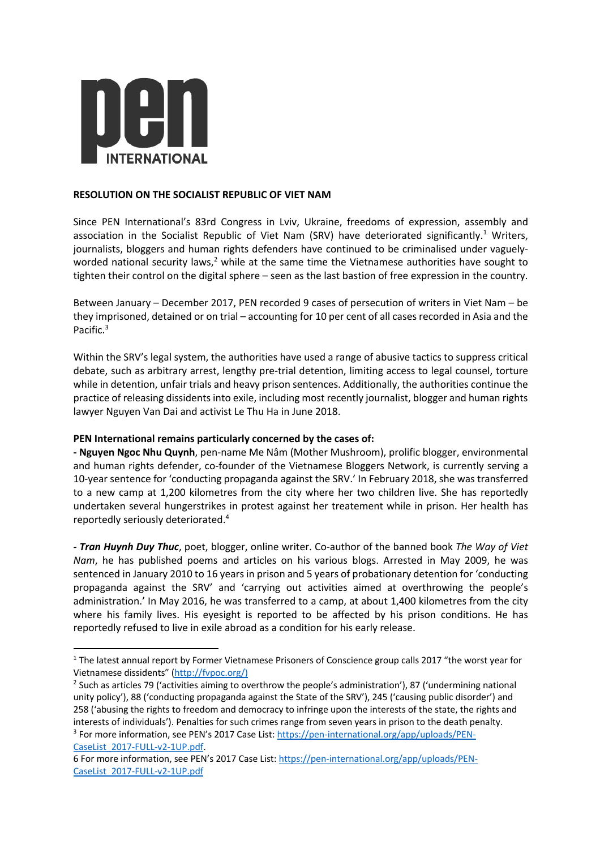

## **RESOLUTION ON THE SOCIALIST REPUBLIC OF VIET NAM**

Since PEN International's 83rd Congress in Lviv, Ukraine, freedoms of expression, assembly and association in the Socialist Republic of Viet Nam (SRV) have deteriorated significantly.<sup>1</sup> Writers, journalists, bloggers and human rights defenders have continued to be criminalised under vaguelyworded national security laws,<sup>2</sup> while at the same time the Vietnamese authorities have sought to tighten their control on the digital sphere – seen as the last bastion of free expression in the country.

Between January – December 2017, PEN recorded 9 cases of persecution of writers in Viet Nam – be they imprisoned, detained or on trial – accounting for 10 per cent of all cases recorded in Asia and the Pacific.<sup>3</sup>

Within the SRV's legal system, the authorities have used a range of abusive tactics to suppress critical debate, such as arbitrary arrest, lengthy pre-trial detention, limiting access to legal counsel, torture while in detention, unfair trials and heavy prison sentences. Additionally, the authorities continue the practice of releasing dissidents into exile, including most recently journalist, blogger and human rights lawyer Nguyen Van Dai and activist Le Thu Ha in June 2018.

## **PEN International remains particularly concerned by the cases of:**

**- Nguyen Ngoc Nhu Quynh**, pen-name Me Nâm (Mother Mushroom), prolific blogger, environmental and human rights defender, co-founder of the Vietnamese Bloggers Network, is currently serving a 10-year sentence for 'conducting propaganda against the SRV.' In February 2018, she was transferred to a new camp at 1,200 kilometres from the city where her two children live. She has reportedly undertaken several hungerstrikes in protest against her treatement while in prison. Her health has reportedly seriously deteriorated. 4

*- Tran Huynh Duy Thuc*, poet, blogger, online writer. Co-author of the banned book *The Way of Viet Nam*, he has published poems and articles on his various blogs. Arrested in May 2009, he was sentenced in January 2010 to 16 years in prison and 5 years of probationary detention for 'conducting propaganda against the SRV' and 'carrying out activities aimed at overthrowing the people's administration.' In May 2016, he was transferred to a camp, at about 1,400 kilometres from the city where his family lives. His eyesight is reported to be affected by his prison conditions. He has reportedly refused to live in exile abroad as a condition for his early release.

<sup>&</sup>lt;sup>1</sup> The latest annual report by Former Vietnamese Prisoners of Conscience group calls 2017 "the worst year for Vietnamese dissidents" (http://fvpoc.org/)

<sup>2</sup> Such as articles 79 ('activities aiming to overthrow the people's administration'), 87 ('undermining national unity policy'), 88 ('conducting propaganda against the State of the SRV'), 245 ('causing public disorder') and 258 ('abusing the rights to freedom and democracy to infringe upon the interests of the state, the rights and interests of individuals'). Penalties for such crimes range from seven years in prison to the death penalty. <sup>3</sup> For more information, see PEN's 2017 Case List: https://pen-international.org/app/uploads/PEN-

CaseList\_2017-FULL-v2-1UP.pdf. 6 For more information, see PEN's 2017 Case List: https://pen-international.org/app/uploads/PEN-CaseList\_2017-FULL-v2-1UP.pdf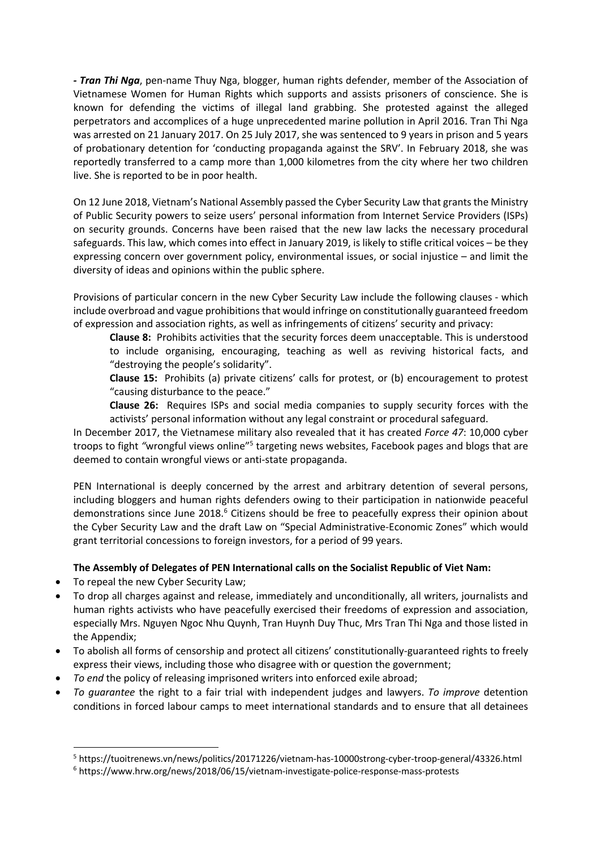*- Tran Thi Nga*, pen-name Thuy Nga, blogger, human rights defender, member of the Association of Vietnamese Women for Human Rights which supports and assists prisoners of conscience. She is known for defending the victims of illegal land grabbing. She protested against the alleged perpetrators and accomplices of a huge unprecedented marine pollution in April 2016. Tran Thi Nga was arrested on 21 January 2017. On 25 July 2017, she was sentenced to 9 years in prison and 5 years of probationary detention for 'conducting propaganda against the SRV'. In February 2018, she was reportedly transferred to a camp more than 1,000 kilometres from the city where her two children live. She is reported to be in poor health.

On 12 June 2018, Vietnam's National Assembly passed the Cyber Security Law that grants the Ministry of Public Security powers to seize users' personal information from Internet Service Providers (ISPs) on security grounds. Concerns have been raised that the new law lacks the necessary procedural safeguards. This law, which comes into effect in January 2019, is likely to stifle critical voices – be they expressing concern over government policy, environmental issues, or social injustice – and limit the diversity of ideas and opinions within the public sphere.

Provisions of particular concern in the new Cyber Security Law include the following clauses - which include overbroad and vague prohibitions that would infringe on constitutionally guaranteed freedom of expression and association rights, as well as infringements of citizens' security and privacy:

**Clause 8:** Prohibits activities that the security forces deem unacceptable. This is understood to include organising, encouraging, teaching as well as reviving historical facts, and "destroying the people's solidarity".

**Clause 15:** Prohibits (a) private citizens' calls for protest, or (b) encouragement to protest "causing disturbance to the peace."

**Clause 26:** Requires ISPs and social media companies to supply security forces with the activists' personal information without any legal constraint or procedural safeguard.

In December 2017, the Vietnamese military also revealed that it has created *Force 47*: 10,000 cyber troops to fight "wrongful views online"<sup>5</sup> targeting news websites, Facebook pages and blogs that are deemed to contain wrongful views or anti-state propaganda.

PEN International is deeply concerned by the arrest and arbitrary detention of several persons, including bloggers and human rights defenders owing to their participation in nationwide peaceful demonstrations since June 2018.<sup>6</sup> Citizens should be free to peacefully express their opinion about the Cyber Security Law and the draft Law on "Special Administrative-Economic Zones" which would grant territorial concessions to foreign investors, for a period of 99 years.

## **The Assembly of Delegates of PEN International calls on the Socialist Republic of Viet Nam:**

- To repeal the new Cyber Security Law;
- To drop all charges against and release, immediately and unconditionally, all writers, journalists and human rights activists who have peacefully exercised their freedoms of expression and association, especially Mrs. Nguyen Ngoc Nhu Quynh, Tran Huynh Duy Thuc, Mrs Tran Thi Nga and those listed in the Appendix;
- To abolish all forms of censorship and protect all citizens' constitutionally-guaranteed rights to freely express their views, including those who disagree with or question the government;
- *To end* the policy of releasing imprisoned writers into enforced exile abroad;
- *To guarantee* the right to a fair trial with independent judges and lawyers. *To improve* detention conditions in forced labour camps to meet international standards and to ensure that all detainees

 <sup>5</sup> https://tuoitrenews.vn/news/politics/20171226/vietnam-has-10000strong-cyber-troop-general/43326.html

<sup>6</sup> https://www.hrw.org/news/2018/06/15/vietnam-investigate-police-response-mass-protests